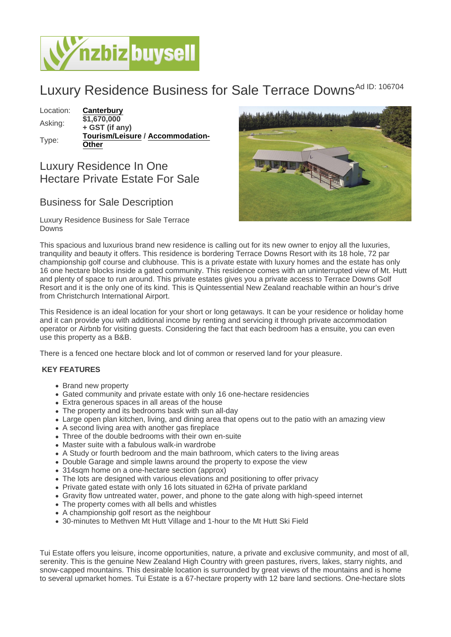## Luxury Residence Business for Sale Terrace Downs<sup>Ad ID: 106704</sup>

Location: [Canterbury](https://www.nzbizbuysell.co.nz/businesses-for-sale/location/Canterbury)

Asking: \$1,670,000 + GST (if any) Type: [Tourism/Leisure](https://www.nzbizbuysell.co.nz/businesses-for-sale/Tourism--Leisure/New-Zealand) / [Accommodation-](https://www.nzbizbuysell.co.nz/businesses-for-sale/Accommodation-Other/New-Zealand)**[Other](https://www.nzbizbuysell.co.nz/businesses-for-sale/Accommodation-Other/New-Zealand)** 

## Luxury Residence In One Hectare Private Estate For Sale

## Business for Sale Description

Luxury Residence Business for Sale Terrace Downs

This spacious and luxurious brand new residence is calling out for its new owner to enjoy all the luxuries, tranquility and beauty it offers. This residence is bordering Terrace Downs Resort with its 18 hole, 72 par championship golf course and clubhouse. This is a private estate with luxury homes and the estate has only 16 one hectare blocks inside a gated community. This residence comes with an uninterrupted view of Mt. Hutt and plenty of space to run around. This private estates gives you a private access to Terrace Downs Golf Resort and it is the only one of its kind. This is Quintessential New Zealand reachable within an hour's drive from Christchurch International Airport.

This Residence is an ideal location for your short or long getaways. It can be your residence or holiday home and it can provide you with additional income by renting and servicing it through private accommodation operator or Airbnb for visiting guests. Considering the fact that each bedroom has a ensuite, you can even use this property as a B&B.

There is a fenced one hectare block and lot of common or reserved land for your pleasure.

## KEY FEATURES

- Brand new property
- Gated community and private estate with only 16 one-hectare residencies
- Extra generous spaces in all areas of the house
- The property and its bedrooms bask with sun all-day
- Large open plan kitchen, living, and dining area that opens out to the patio with an amazing view
- A second living area with another gas fireplace
- Three of the double bedrooms with their own en-suite
- Master suite with a fabulous walk-in wardrobe
- A Study or fourth bedroom and the main bathroom, which caters to the living areas
- Double Garage and simple lawns around the property to expose the view
- 314sqm home on a one-hectare section (approx)
- The lots are designed with various elevations and positioning to offer privacy
- Private gated estate with only 16 lots situated in 62Ha of private parkland
- Gravity flow untreated water, power, and phone to the gate along with high-speed internet
- The property comes with all bells and whistles
- A championship golf resort as the neighbour
- 30-minutes to Methven Mt Hutt Village and 1-hour to the Mt Hutt Ski Field

Tui Estate offers you leisure, income opportunities, nature, a private and exclusive community, and most of all, serenity. This is the genuine New Zealand High Country with green pastures, rivers, lakes, starry nights, and snow-capped mountains. This desirable location is surrounded by great views of the mountains and is home to several upmarket homes. Tui Estate is a 67-hectare property with 12 bare land sections. One-hectare slots